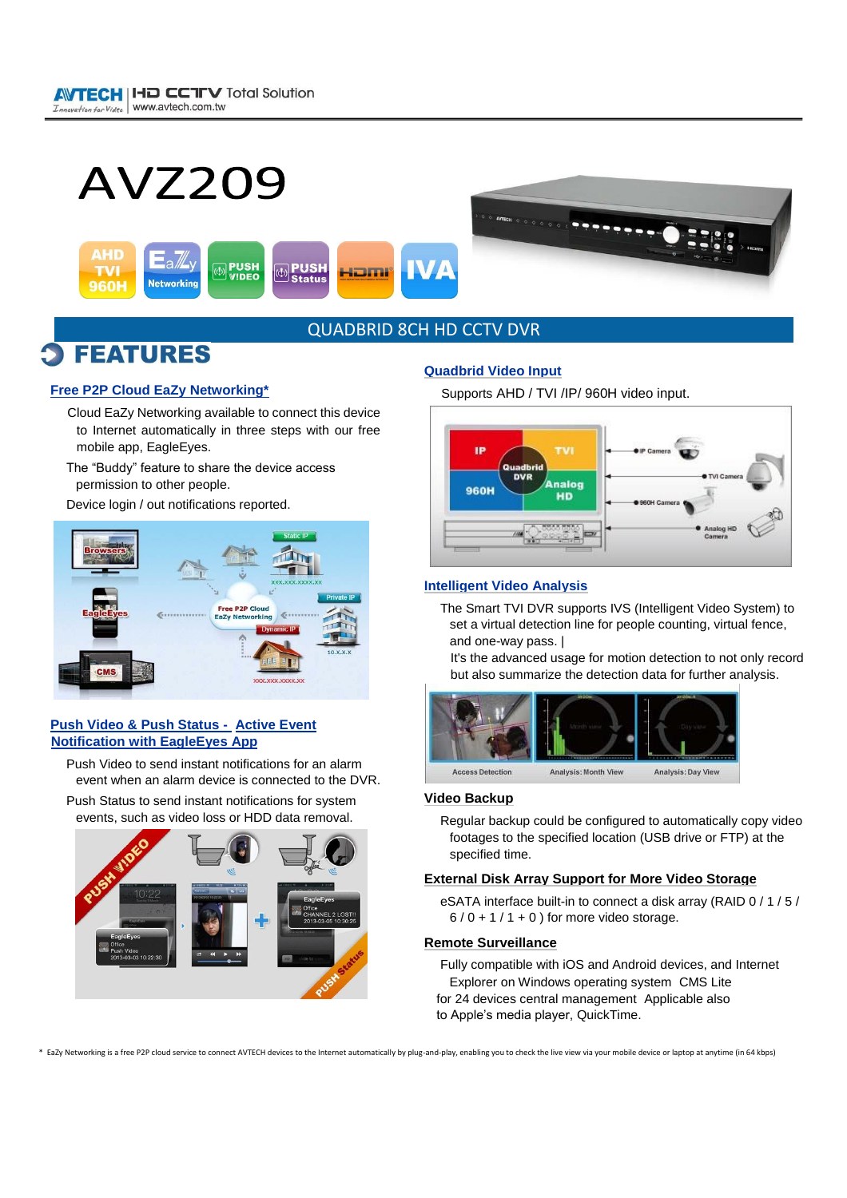



### QUADBRID 8CH HD CCTV DVR

### **FEATURES**

#### **Free P2P Cloud EaZy Networking\***

- Cloud EaZy Networking available to connect this device to Internet automatically in three steps with our free mobile app, EagleEyes.
- The "Buddy" feature to share the device access permission to other people.

Device login / out notifications reported.



#### **Push Video & Push Status - Active Event Notification with EagleEyes App**

Push Video to send instant notifications for an alarm event when an alarm device is connected to the DVR.

Push Status to send instant notifications for system events, such as video loss or HDD data removal.



#### **Quadbrid Video Input**

Supports AHD / TVI /IP/ 960H video input.



#### **Intelligent Video Analysis**

The Smart TVI DVR supports IVS (Intelligent Video System) to set a virtual detection line for people counting, virtual fence, and one-way pass. |

It's the advanced usage for motion detection to not only record but also summarize the detection data for further analysis.



#### **Video Backup**

Regular backup could be configured to automatically copy video footages to the specified location (USB drive or FTP) at the specified time.

#### **External Disk Array Support for More Video Storage**

eSATA interface built-in to connect a disk array (RAID 0 / 1 / 5 /  $6/0 + 1/1 + 0$  ) for more video storage.

#### **Remote Surveillance**

Fully compatible with iOS and Android devices, and Internet Explorer on Windows operating system CMS Lite for 24 devices central management Applicable also to Apple's media player, QuickTime.

\* EaZy Networking is a free P2P cloud service to connect AVTECH devices to the Internet automatically by plug-and-play, enabling you to check the live view via your mobile device or laptop at anytime (in 64 kbps)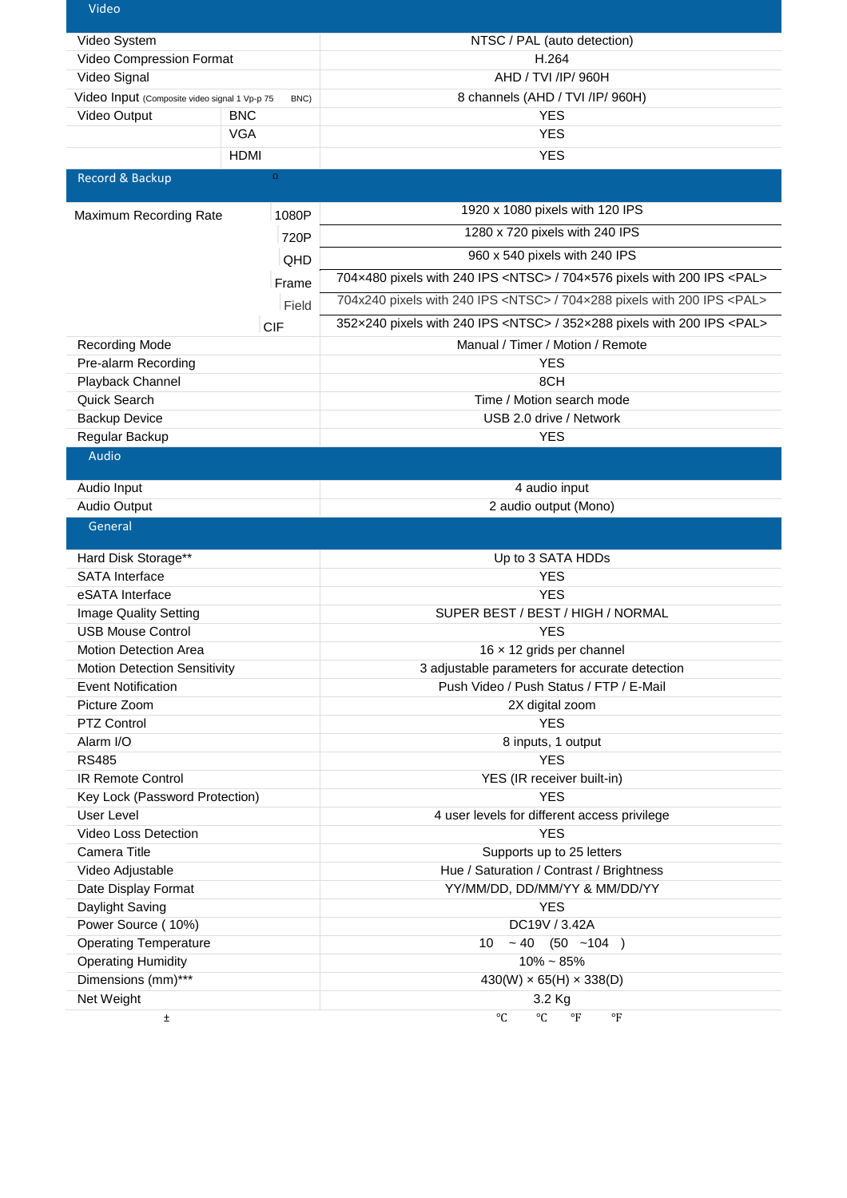| Video                                                 |             |                                                                                     |  |
|-------------------------------------------------------|-------------|-------------------------------------------------------------------------------------|--|
| Video System                                          |             | NTSC / PAL (auto detection)                                                         |  |
| Video Compression Format                              |             | H.264                                                                               |  |
| Video Signal                                          |             | AHD / TVI /IP/ 960H                                                                 |  |
| Video Input (Composite video signal 1 Vp-p 75<br>BNC) |             | 8 channels (AHD / TVI /IP/ 960H)                                                    |  |
| Video Output<br><b>BNC</b>                            |             | <b>YES</b>                                                                          |  |
|                                                       | <b>VGA</b>  | <b>YES</b>                                                                          |  |
|                                                       | <b>HDMI</b> | <b>YES</b>                                                                          |  |
| Record & Backup                                       | $\Omega$    |                                                                                     |  |
|                                                       |             |                                                                                     |  |
| Maximum Recording Rate                                | 1080P       | 1920 x 1080 pixels with 120 IPS                                                     |  |
|                                                       | 720P        | 1280 x 720 pixels with 240 IPS                                                      |  |
|                                                       | QHD         | 960 x 540 pixels with 240 IPS                                                       |  |
|                                                       | Frame       | 704x480 pixels with 240 IPS <ntsc> / 704x576 pixels with 200 IPS <pal></pal></ntsc> |  |
|                                                       |             | 704x240 pixels with 240 IPS <ntsc> / 704x288 pixels with 200 IPS <pal></pal></ntsc> |  |
|                                                       | Field       | 352x240 pixels with 240 IPS <ntsc> / 352x288 pixels with 200 IPS <pal></pal></ntsc> |  |
| <b>Recording Mode</b>                                 | <b>CIF</b>  | Manual / Timer / Motion / Remote                                                    |  |
| Pre-alarm Recording                                   |             | <b>YES</b>                                                                          |  |
|                                                       |             |                                                                                     |  |
| Playback Channel                                      |             | 8CH                                                                                 |  |
| Quick Search                                          |             | Time / Motion search mode                                                           |  |
| <b>Backup Device</b>                                  |             | USB 2.0 drive / Network<br><b>YES</b>                                               |  |
| Regular Backup<br><b>Audio</b>                        |             |                                                                                     |  |
|                                                       |             |                                                                                     |  |
| Audio Input                                           |             | 4 audio input                                                                       |  |
| Audio Output                                          |             | 2 audio output (Mono)                                                               |  |
| General                                               |             |                                                                                     |  |
| Hard Disk Storage**                                   |             | Up to 3 SATA HDDs                                                                   |  |
| <b>SATA</b> Interface                                 |             | <b>YES</b>                                                                          |  |
| eSATA Interface                                       |             | <b>YES</b>                                                                          |  |
| Image Quality Setting                                 |             | SUPER BEST / BEST / HIGH / NORMAL                                                   |  |
| <b>USB Mouse Control</b>                              |             | <b>YES</b>                                                                          |  |
| <b>Motion Detection Area</b>                          |             | 16 x 12 grids per channel                                                           |  |
| <b>Motion Detection Sensitivity</b>                   |             | 3 adjustable parameters for accurate detection                                      |  |
| <b>Event Notification</b>                             |             | Push Video / Push Status / FTP / E-Mail                                             |  |
| Picture Zoom                                          |             | 2X digital zoom                                                                     |  |
| PTZ Control                                           |             | <b>YES</b>                                                                          |  |
| Alarm I/O                                             |             | 8 inputs, 1 output                                                                  |  |
| <b>RS485</b>                                          |             | <b>YES</b>                                                                          |  |
| <b>IR Remote Control</b>                              |             | YES (IR receiver built-in)                                                          |  |
| Key Lock (Password Protection)                        |             | <b>YES</b>                                                                          |  |
| User Level                                            |             | 4 user levels for different access privilege                                        |  |
| Video Loss Detection                                  |             | <b>YES</b>                                                                          |  |
| Camera Title                                          |             | Supports up to 25 letters                                                           |  |
| Video Adjustable                                      |             | Hue / Saturation / Contrast / Brightness                                            |  |
| Date Display Format                                   |             | YY/MM/DD, DD/MM/YY & MM/DD/YY                                                       |  |
| Daylight Saving                                       |             | <b>YES</b>                                                                          |  |
| Power Source (10%)                                    |             | DC19V / 3.42A                                                                       |  |
| <b>Operating Temperature</b>                          |             | $~10$ (50 $~104$ )<br>10                                                            |  |
| <b>Operating Humidity</b>                             |             | $10\% - 85\%$                                                                       |  |
| Dimensions (mm)***                                    |             | $430(W) \times 65(H) \times 338(D)$                                                 |  |
| Net Weight                                            |             | 3.2 Kg                                                                              |  |
| Ŧ.                                                    |             | $^{\circ}C$<br>°C<br>$\mathrm{P}$<br>$\circ$ F                                      |  |
|                                                       |             |                                                                                     |  |